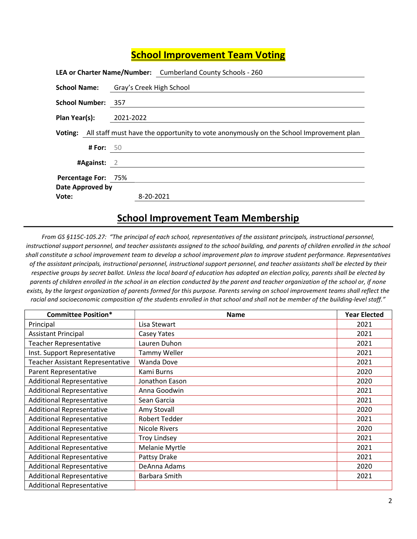## **School Improvement Team Voting**

|                     |                    |                          | LEA or Charter Name/Number: Cumberland County Schools - 260                                    |
|---------------------|--------------------|--------------------------|------------------------------------------------------------------------------------------------|
| <b>School Name:</b> |                    | Gray's Creek High School |                                                                                                |
| School Number: 357  |                    |                          |                                                                                                |
| Plan Year(s):       |                    | 2021-2022                |                                                                                                |
|                     |                    |                          | Voting: All staff must have the opportunity to vote anonymously on the School Improvement plan |
|                     | <b># For:</b> $50$ |                          |                                                                                                |
| $\#$ Against: 2     |                    |                          |                                                                                                |
| Percentage For: 75% |                    |                          |                                                                                                |
| Date Approved by    |                    |                          |                                                                                                |
| Vote:               |                    | 8-20-2021                |                                                                                                |

## School Improvement Team Membership

From GS §115C-105.27: "The principal of each school, representatives of the assistant principals, instructional personnel, instructional support personnel, and teacher assistants assigned to the school building, and parents of children enrolled in the school shall constitute a school improvement team to develop a school improvement plan to improve student performance. Representatives of the assistant principals, instructional personnel, instructional support personnel, and teacher assistants shall be elected by their respective groups by secret ballot. Unless the local board of education has adopted an election policy, parents shall be elected by parents of children enrolled in the school in an election conducted by the parent and teacher organization of the school or, if none exists, by the largest organization of parents formed for this purpose. Parents serving on school improvement teams shall reflect the racial and socioeconomic composition of the students enrolled in that school and shall not be member of the building-level staff."

| <b>Committee Position*</b>              | <b>Name</b>          | <b>Year Elected</b> |
|-----------------------------------------|----------------------|---------------------|
| Principal                               | Lisa Stewart         | 2021                |
| <b>Assistant Principal</b>              | Casey Yates          | 2021                |
| <b>Teacher Representative</b>           | Lauren Duhon         | 2021                |
| Inst. Support Representative            | <b>Tammy Weller</b>  | 2021                |
| <b>Teacher Assistant Representative</b> | <b>Wanda Dove</b>    | 2021                |
| Parent Representative                   | Kami Burns           | 2020                |
| <b>Additional Representative</b>        | Jonathon Eason       | 2020                |
| <b>Additional Representative</b>        | Anna Goodwin         | 2021                |
| <b>Additional Representative</b>        | Sean Garcia          | 2021                |
| <b>Additional Representative</b>        | Amy Stovall          | 2020                |
| <b>Additional Representative</b>        | <b>Robert Tedder</b> | 2021                |
| <b>Additional Representative</b>        | Nicole Rivers        | 2020                |
| <b>Additional Representative</b>        | <b>Troy Lindsey</b>  | 2021                |
| <b>Additional Representative</b>        | Melanie Myrtle       | 2021                |
| <b>Additional Representative</b>        | Pattsy Drake         | 2021                |
| <b>Additional Representative</b>        | DeAnna Adams         | 2020                |
| <b>Additional Representative</b>        | Barbara Smith        | 2021                |
| <b>Additional Representative</b>        |                      |                     |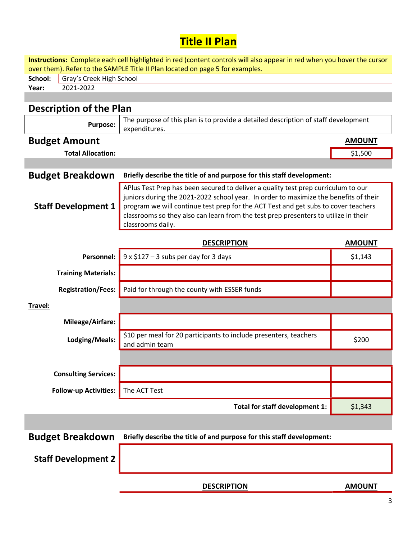## **Title II Plan**

| Instructions: Complete each cell highlighted in red (content controls will also appear in red when you hover the cursor<br>over them). Refer to the SAMPLE Title II Plan located on page 5 for examples. |                                                                                                                                                                                                                                                                                                                                                                             |               |  |  |  |  |  |
|----------------------------------------------------------------------------------------------------------------------------------------------------------------------------------------------------------|-----------------------------------------------------------------------------------------------------------------------------------------------------------------------------------------------------------------------------------------------------------------------------------------------------------------------------------------------------------------------------|---------------|--|--|--|--|--|
| School:<br>Gray's Creek High School                                                                                                                                                                      |                                                                                                                                                                                                                                                                                                                                                                             |               |  |  |  |  |  |
| 2021-2022<br>Year:                                                                                                                                                                                       |                                                                                                                                                                                                                                                                                                                                                                             |               |  |  |  |  |  |
|                                                                                                                                                                                                          |                                                                                                                                                                                                                                                                                                                                                                             |               |  |  |  |  |  |
| <b>Description of the Plan</b>                                                                                                                                                                           |                                                                                                                                                                                                                                                                                                                                                                             |               |  |  |  |  |  |
| <b>Purpose:</b>                                                                                                                                                                                          | The purpose of this plan is to provide a detailed description of staff development<br>expenditures.                                                                                                                                                                                                                                                                         |               |  |  |  |  |  |
| <b>Budget Amount</b>                                                                                                                                                                                     |                                                                                                                                                                                                                                                                                                                                                                             | <b>AMOUNT</b> |  |  |  |  |  |
| <b>Total Allocation:</b>                                                                                                                                                                                 |                                                                                                                                                                                                                                                                                                                                                                             | \$1,500       |  |  |  |  |  |
|                                                                                                                                                                                                          |                                                                                                                                                                                                                                                                                                                                                                             |               |  |  |  |  |  |
| <b>Budget Breakdown</b>                                                                                                                                                                                  | Briefly describe the title of and purpose for this staff development:                                                                                                                                                                                                                                                                                                       |               |  |  |  |  |  |
| <b>Staff Development 1</b>                                                                                                                                                                               | APlus Test Prep has been secured to deliver a quality test prep curriculum to our<br>juniors during the 2021-2022 school year. In order to maximize the benefits of their<br>program we will continue test prep for the ACT Test and get subs to cover teachers<br>classrooms so they also can learn from the test prep presenters to utilize in their<br>classrooms daily. |               |  |  |  |  |  |
|                                                                                                                                                                                                          | <b>DESCRIPTION</b>                                                                                                                                                                                                                                                                                                                                                          | <b>AMOUNT</b> |  |  |  |  |  |
| <b>Personnel:</b>                                                                                                                                                                                        | $9 \times $127 - 3$ subs per day for 3 days                                                                                                                                                                                                                                                                                                                                 | \$1,143       |  |  |  |  |  |
| <b>Training Materials:</b>                                                                                                                                                                               |                                                                                                                                                                                                                                                                                                                                                                             |               |  |  |  |  |  |
| <b>Registration/Fees:</b>                                                                                                                                                                                | Paid for through the county with ESSER funds                                                                                                                                                                                                                                                                                                                                |               |  |  |  |  |  |
| Travel:                                                                                                                                                                                                  |                                                                                                                                                                                                                                                                                                                                                                             |               |  |  |  |  |  |
| Mileage/Airfare:                                                                                                                                                                                         |                                                                                                                                                                                                                                                                                                                                                                             |               |  |  |  |  |  |
| Lodging/Meals:                                                                                                                                                                                           | \$10 per meal for 20 participants to include presenters, teachers<br>and admin team                                                                                                                                                                                                                                                                                         | \$200         |  |  |  |  |  |
|                                                                                                                                                                                                          |                                                                                                                                                                                                                                                                                                                                                                             |               |  |  |  |  |  |
| <b>Consulting Services:</b>                                                                                                                                                                              |                                                                                                                                                                                                                                                                                                                                                                             |               |  |  |  |  |  |
| <b>Follow-up Activities:</b>                                                                                                                                                                             | The ACT Test                                                                                                                                                                                                                                                                                                                                                                |               |  |  |  |  |  |
|                                                                                                                                                                                                          | Total for staff development 1:                                                                                                                                                                                                                                                                                                                                              | \$1,343       |  |  |  |  |  |
|                                                                                                                                                                                                          |                                                                                                                                                                                                                                                                                                                                                                             |               |  |  |  |  |  |
| <b>Budget Breakdown</b>                                                                                                                                                                                  | Briefly describe the title of and purpose for this staff development:                                                                                                                                                                                                                                                                                                       |               |  |  |  |  |  |
| <b>Staff Development 2</b>                                                                                                                                                                               |                                                                                                                                                                                                                                                                                                                                                                             |               |  |  |  |  |  |

DESCRIPTION AMOUNT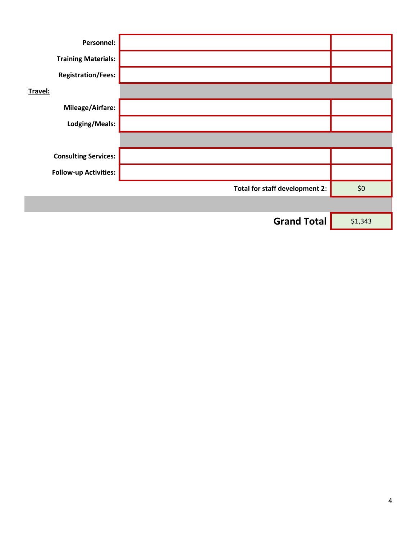| Personnel:                   |                                |         |
|------------------------------|--------------------------------|---------|
| <b>Training Materials:</b>   |                                |         |
| <b>Registration/Fees:</b>    |                                |         |
| Travel:                      |                                |         |
| Mileage/Airfare:             |                                |         |
| Lodging/Meals:               |                                |         |
|                              |                                |         |
| <b>Consulting Services:</b>  |                                |         |
| <b>Follow-up Activities:</b> |                                |         |
|                              | Total for staff development 2: | \$0     |
|                              |                                |         |
|                              | <b>Grand Total</b>             | \$1,343 |